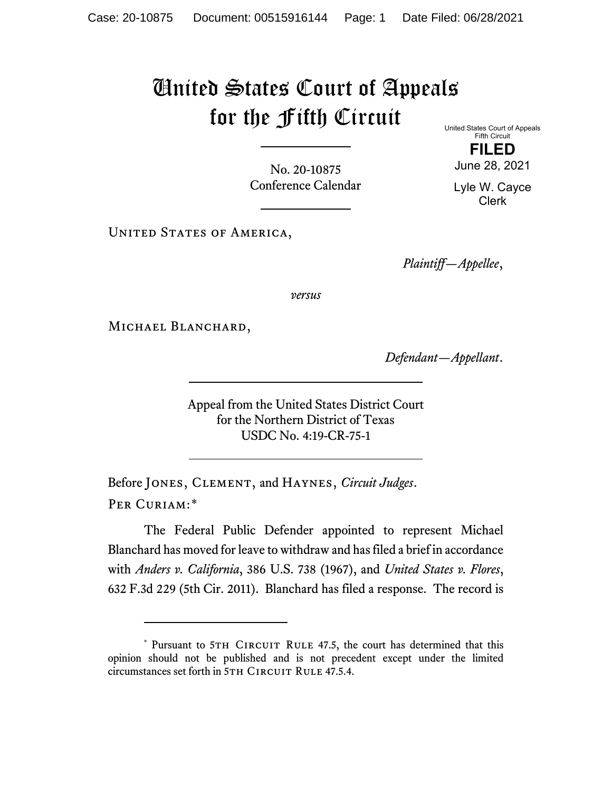## United States Court of Appeals for the Fifth Circuit

No. 20-10875 Conference Calendar United States Court of Appeals Fifth Circuit

**FILED** June 28, 2021

Lyle W. Cayce Clerk

UNITED STATES OF AMERICA,

*Plaintiff—Appellee*,

*versus*

MICHAEL BLANCHARD,

*Defendant—Appellant*.

Appeal from the United States District Court for the Northern District of Texas USDC No. 4:19-CR-75-1

Before Jones, Clement, and Haynes, *Circuit Judges*. Per Curiam:[\\*](#page-0-0)

The Federal Public Defender appointed to represent Michael Blanchard has moved for leave to withdraw and has filed a brief in accordance with *Anders v. California*, 386 U.S. 738 (1967), and *United States v. Flores*, 632 F.3d 229 (5th Cir. 2011). Blanchard has filed a response. The record is

<span id="page-0-0"></span><sup>\*</sup> Pursuant to 5TH CIRCUIT RULE 47.5, the court has determined that this opinion should not be published and is not precedent except under the limited circumstances set forth in 5TH CIRCUIT RULE 47.5.4.